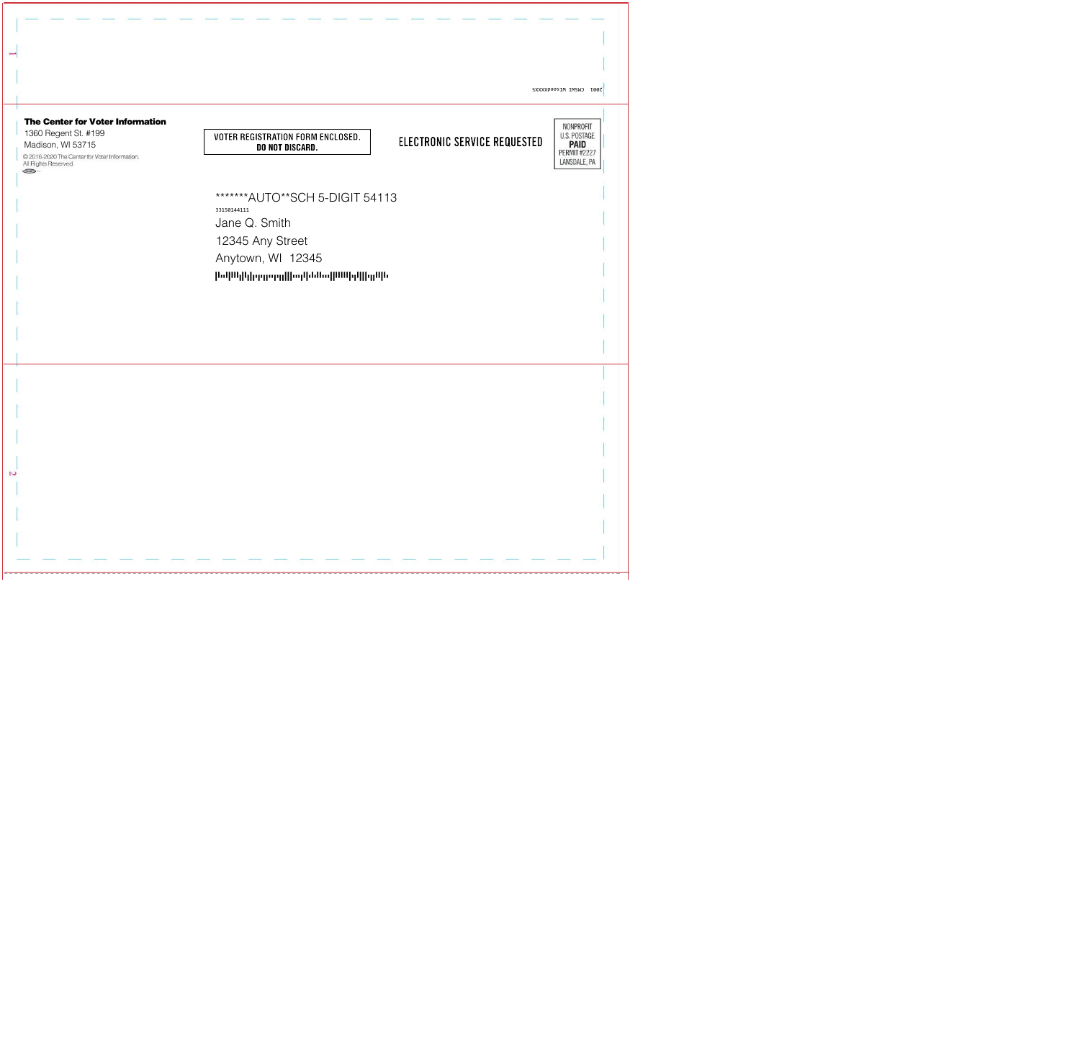ISOOT CWZMI MIZGOSTAXXZ



N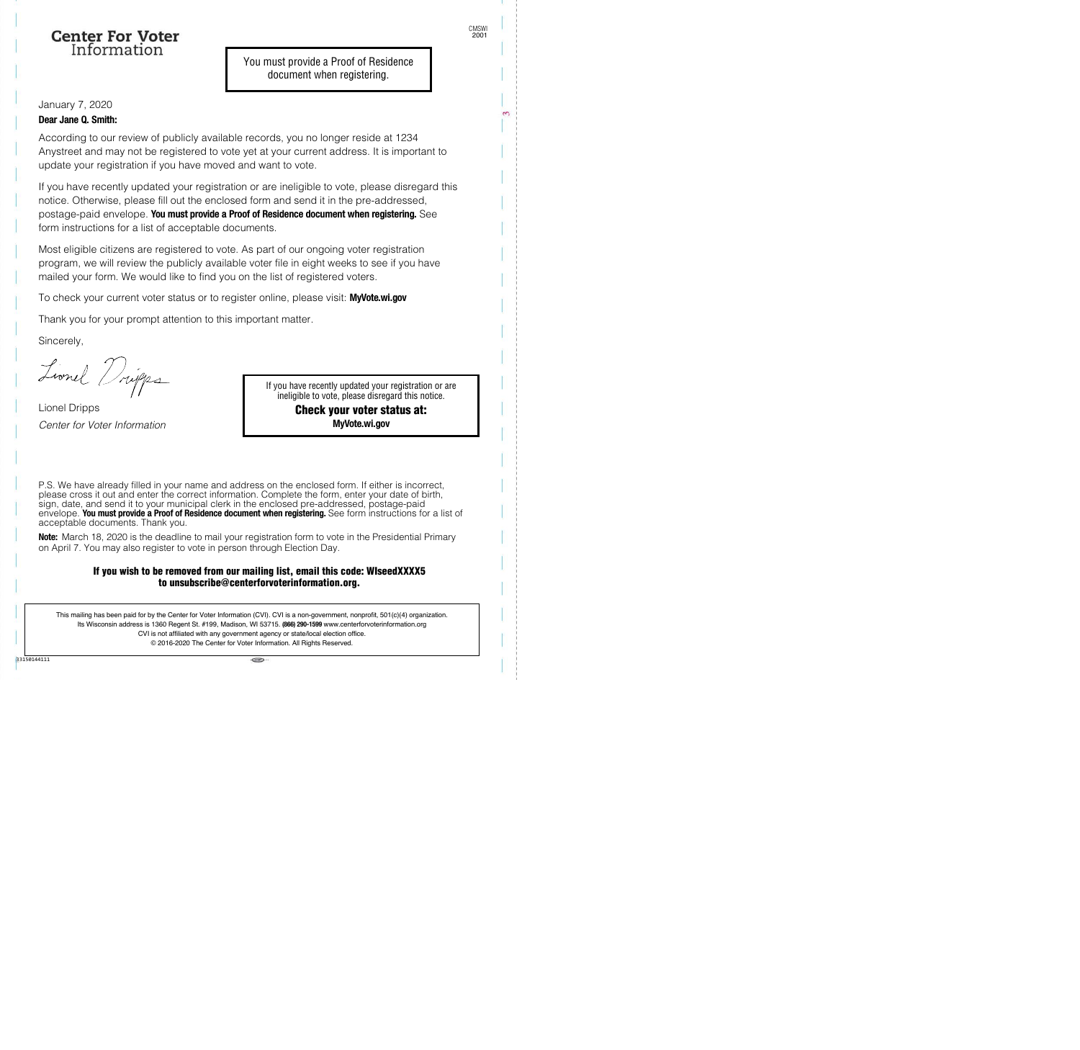## **Center For Voter** Information

January 7, 2020 **Dear Jane Q. Smith:**

According to our review of publicly available records, you no longer reside at 1234 Anystreet and may not be registered to vote yet at your current address. It is important to update your registration if you have moved and want to vote.

If you have recently updated your registration or are ineligible to vote, please disregard this notice. Otherwise, please fill out the enclosed form and send it in the pre-addressed, postage-paid envelope. **You must provide a Proof of Residence document when registering.** See form instructions for a list of acceptable documents.

Most eligible citizens are registered to vote. As part of our ongoing voter registration program, we will review the publicly available voter file in eight weeks to see if you have mailed your form. We would like to find you on the list of registered voters.

To check your current voter status or to register online, please visit: **MyVote.wi.gov**

Thank you for your prompt attention to this important matter.

Sincerely,

Lionel Dripps

Lionel Dripps Center for Voter Information

If you have recently updated your registration or are ineligible to vote, please disregard this notice.

## Check your voter status at: **MyVote.wi.gov**

P.S. We have already filled in your name and address on the enclosed form. If either is incorrect, please cross it out and enter the correct information. Complete the form, enter your date of birth, sign, date, and send it to your municipal clerk in the enclosed pre-addressed, postage-paid envelope. **You must provide a Proof of Residence document when registering.** See form instructions for a list of acceptable documents. Thank you.

**Note:** March 18, 2020 is the deadline to mail your registration form to vote in the Presidential Primary on April 7. You may also register to vote in person through Election Day.

### If you wish to be removed from our mailing list, email this code: WIseedXXXX5 to unsubscribe@centerforvoterinformation.org.

This mailing has been paid for by the Center for Voter Information (CVI). CVI is a non-government, nonprofit, 501(c)(4) organization. Its Wisconsin address is 1360 Regent St. #199, Madison, WI 53715. **(866) 290-1599** www.centerforvoterinformation.org CVI is not affiliated with any government agency or state/local election office. © 2016-2020 The Center for Voter Information. All Rights Reserved.

 $-$ 

 $\sim$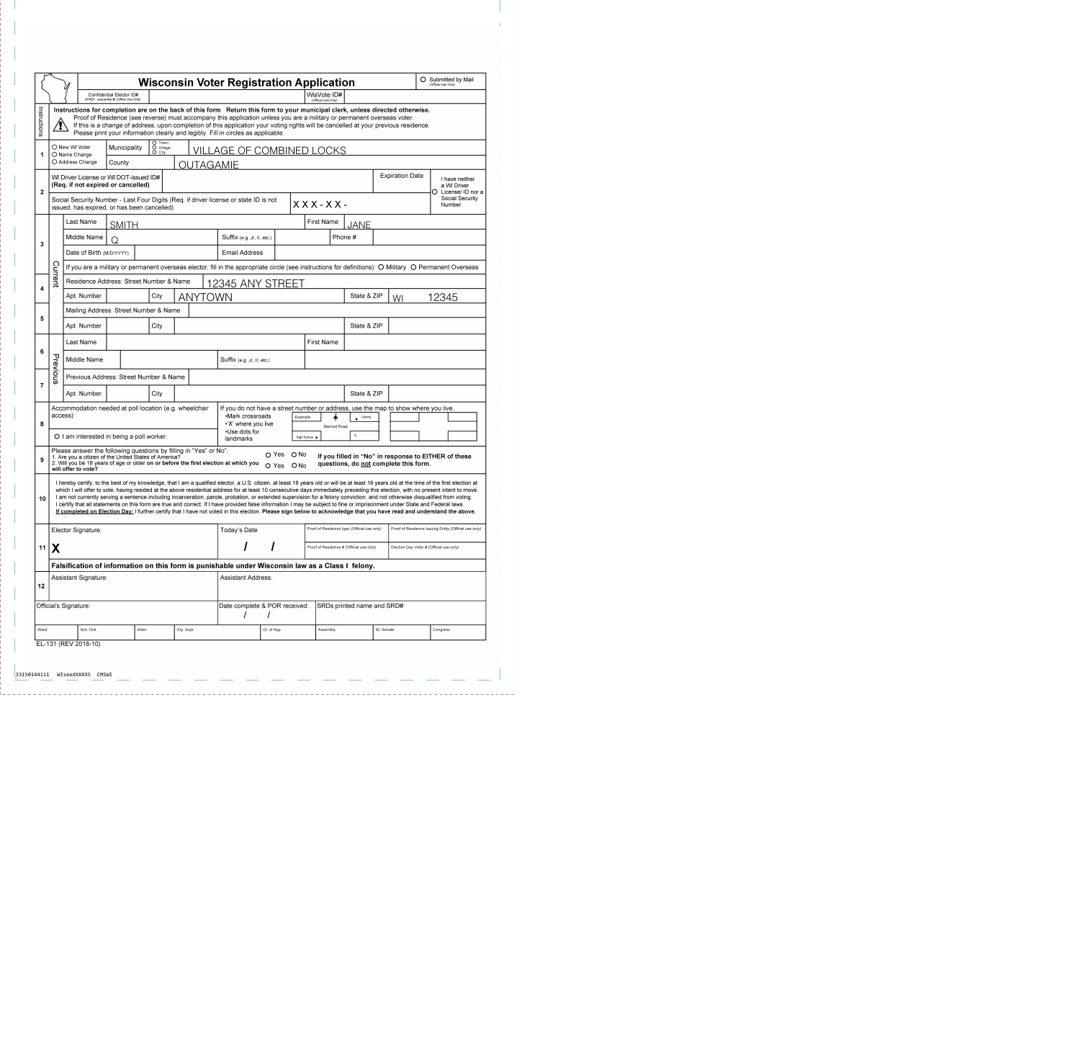|                                                  |                                                                                                                                                                                                                                                                                                                                                                                                                                                                                                                                                                                                                                                                                                                                                                                                                                                                                                                           |                                                                                                                                                                                                                                                                                                                                                                                                                                                             | <b>Wisconsin Voter Registration Application</b>                      |              |                                                                                                    |                                 |                                                                                                                   |                                      |                                                                                                  |                                             |  |                                          |                                                       |                             | O Submitted by Mail<br>(Official Use Only) |       |                                                         |                                                                                                                                                                           |
|--------------------------------------------------|---------------------------------------------------------------------------------------------------------------------------------------------------------------------------------------------------------------------------------------------------------------------------------------------------------------------------------------------------------------------------------------------------------------------------------------------------------------------------------------------------------------------------------------------------------------------------------------------------------------------------------------------------------------------------------------------------------------------------------------------------------------------------------------------------------------------------------------------------------------------------------------------------------------------------|-------------------------------------------------------------------------------------------------------------------------------------------------------------------------------------------------------------------------------------------------------------------------------------------------------------------------------------------------------------------------------------------------------------------------------------------------------------|----------------------------------------------------------------------|--------------|----------------------------------------------------------------------------------------------------|---------------------------------|-------------------------------------------------------------------------------------------------------------------|--------------------------------------|--------------------------------------------------------------------------------------------------|---------------------------------------------|--|------------------------------------------|-------------------------------------------------------|-----------------------------|--------------------------------------------|-------|---------------------------------------------------------|---------------------------------------------------------------------------------------------------------------------------------------------------------------------------|
|                                                  |                                                                                                                                                                                                                                                                                                                                                                                                                                                                                                                                                                                                                                                                                                                                                                                                                                                                                                                           |                                                                                                                                                                                                                                                                                                                                                                                                                                                             | Confidential Elector ID#<br>(HINDI - sequential #) (Office Use Only) |              |                                                                                                    |                                 |                                                                                                                   |                                      | WisVote ID#<br>(Official Use Only)                                                               |                                             |  |                                          |                                                       |                             |                                            |       |                                                         |                                                                                                                                                                           |
| Instructions                                     | Instructions for completion are on the back of this form Return this form to your municipal clerk, unless directed otherwise.<br>Proof of Residence (see reverse) must accompany this application unless you are a military or permanent overseas voter.<br>Ţ<br>If this is a change of address, upon completion of this application your voting rights will be cancelled at your previous residence.<br>Please print your information clearly and legibly. Fill in circles as applicable.                                                                                                                                                                                                                                                                                                                                                                                                                                |                                                                                                                                                                                                                                                                                                                                                                                                                                                             |                                                                      |              |                                                                                                    |                                 |                                                                                                                   |                                      |                                                                                                  |                                             |  |                                          |                                                       |                             |                                            |       |                                                         |                                                                                                                                                                           |
|                                                  | O New WI Voter<br>O Name Change<br>O Address Change                                                                                                                                                                                                                                                                                                                                                                                                                                                                                                                                                                                                                                                                                                                                                                                                                                                                       |                                                                                                                                                                                                                                                                                                                                                                                                                                                             |                                                                      | Municipality |                                                                                                    | O Town<br>O Village<br>$O$ City | <b>VILLAGE OF COMBINED LOCKS</b>                                                                                  |                                      |                                                                                                  |                                             |  |                                          |                                                       |                             |                                            |       |                                                         |                                                                                                                                                                           |
| 1                                                |                                                                                                                                                                                                                                                                                                                                                                                                                                                                                                                                                                                                                                                                                                                                                                                                                                                                                                                           |                                                                                                                                                                                                                                                                                                                                                                                                                                                             | County<br>OUTAGAMIE                                                  |              |                                                                                                    |                                 |                                                                                                                   |                                      |                                                                                                  |                                             |  |                                          |                                                       |                             |                                            |       |                                                         |                                                                                                                                                                           |
| $\mathbf{2}$                                     | WI Driver License or WI DOT-issued ID#<br>(Req. if not expired or cancelled)                                                                                                                                                                                                                                                                                                                                                                                                                                                                                                                                                                                                                                                                                                                                                                                                                                              |                                                                                                                                                                                                                                                                                                                                                                                                                                                             |                                                                      |              |                                                                                                    |                                 |                                                                                                                   |                                      |                                                                                                  |                                             |  |                                          |                                                       |                             | <b>Expiration Date</b>                     |       | I have neither<br>a WI Driver<br>License/ ID nor a<br>O |                                                                                                                                                                           |
|                                                  |                                                                                                                                                                                                                                                                                                                                                                                                                                                                                                                                                                                                                                                                                                                                                                                                                                                                                                                           |                                                                                                                                                                                                                                                                                                                                                                                                                                                             | issued, has expired, or has been cancelled)                          |              | Social Security Number - Last Four Digits (Req. if driver license or state ID is not<br>$XXX-XX$ - |                                 |                                                                                                                   |                                      |                                                                                                  |                                             |  |                                          |                                                       | Social Security<br>Number.  |                                            |       |                                                         |                                                                                                                                                                           |
| 3                                                |                                                                                                                                                                                                                                                                                                                                                                                                                                                                                                                                                                                                                                                                                                                                                                                                                                                                                                                           |                                                                                                                                                                                                                                                                                                                                                                                                                                                             | Last Name<br><b>SMITH</b>                                            |              |                                                                                                    |                                 |                                                                                                                   |                                      |                                                                                                  |                                             |  |                                          |                                                       | First Name<br>JANE          |                                            |       |                                                         |                                                                                                                                                                           |
|                                                  |                                                                                                                                                                                                                                                                                                                                                                                                                                                                                                                                                                                                                                                                                                                                                                                                                                                                                                                           |                                                                                                                                                                                                                                                                                                                                                                                                                                                             | Middle Name                                                          |              |                                                                                                    |                                 |                                                                                                                   |                                      |                                                                                                  | Suffix (e.g. Jr, II, etc.)                  |  |                                          |                                                       | Phone #                     |                                            |       |                                                         |                                                                                                                                                                           |
|                                                  |                                                                                                                                                                                                                                                                                                                                                                                                                                                                                                                                                                                                                                                                                                                                                                                                                                                                                                                           |                                                                                                                                                                                                                                                                                                                                                                                                                                                             | Date of Birth (M/D/YYYY)                                             |              |                                                                                                    |                                 |                                                                                                                   |                                      | <b>Email Address</b>                                                                             |                                             |  |                                          |                                                       |                             |                                            |       |                                                         |                                                                                                                                                                           |
|                                                  |                                                                                                                                                                                                                                                                                                                                                                                                                                                                                                                                                                                                                                                                                                                                                                                                                                                                                                                           |                                                                                                                                                                                                                                                                                                                                                                                                                                                             |                                                                      |              |                                                                                                    |                                 |                                                                                                                   |                                      |                                                                                                  |                                             |  |                                          |                                                       |                             |                                            |       |                                                         | If you are a military or permanent overseas elector, fill in the appropriate circle (see instructions for definitions): $\bigcirc$ Military $\bigcirc$ Permanent Overseas |
| 4                                                | Current                                                                                                                                                                                                                                                                                                                                                                                                                                                                                                                                                                                                                                                                                                                                                                                                                                                                                                                   |                                                                                                                                                                                                                                                                                                                                                                                                                                                             | Residence Address: Street Number & Name                              |              |                                                                                                    |                                 |                                                                                                                   |                                      | 12345 ANY STREET                                                                                 |                                             |  |                                          |                                                       |                             |                                            |       |                                                         |                                                                                                                                                                           |
|                                                  |                                                                                                                                                                                                                                                                                                                                                                                                                                                                                                                                                                                                                                                                                                                                                                                                                                                                                                                           |                                                                                                                                                                                                                                                                                                                                                                                                                                                             | Apt. Number                                                          | City         |                                                                                                    | <b>ANYTOWN</b>                  |                                                                                                                   |                                      |                                                                                                  |                                             |  |                                          | State & ZIP                                           | WI                          |                                            | 12345 |                                                         |                                                                                                                                                                           |
| 5                                                |                                                                                                                                                                                                                                                                                                                                                                                                                                                                                                                                                                                                                                                                                                                                                                                                                                                                                                                           |                                                                                                                                                                                                                                                                                                                                                                                                                                                             | Mailing Address: Street Number & Name                                |              |                                                                                                    |                                 |                                                                                                                   |                                      |                                                                                                  |                                             |  |                                          |                                                       |                             |                                            |       |                                                         |                                                                                                                                                                           |
|                                                  |                                                                                                                                                                                                                                                                                                                                                                                                                                                                                                                                                                                                                                                                                                                                                                                                                                                                                                                           |                                                                                                                                                                                                                                                                                                                                                                                                                                                             | Apt. Number                                                          |              |                                                                                                    | City                            |                                                                                                                   |                                      |                                                                                                  |                                             |  |                                          |                                                       | State & ZIP                 |                                            |       |                                                         |                                                                                                                                                                           |
| 6                                                |                                                                                                                                                                                                                                                                                                                                                                                                                                                                                                                                                                                                                                                                                                                                                                                                                                                                                                                           |                                                                                                                                                                                                                                                                                                                                                                                                                                                             | Last Name                                                            |              |                                                                                                    |                                 |                                                                                                                   |                                      |                                                                                                  |                                             |  |                                          | <b>First Name</b>                                     |                             |                                            |       |                                                         |                                                                                                                                                                           |
|                                                  |                                                                                                                                                                                                                                                                                                                                                                                                                                                                                                                                                                                                                                                                                                                                                                                                                                                                                                                           |                                                                                                                                                                                                                                                                                                                                                                                                                                                             | Middle Name                                                          |              |                                                                                                    |                                 |                                                                                                                   |                                      | Suffix (e.g. Jr, II, etc.)                                                                       |                                             |  |                                          |                                                       |                             |                                            |       |                                                         |                                                                                                                                                                           |
| $\overline{7}$                                   | Previous                                                                                                                                                                                                                                                                                                                                                                                                                                                                                                                                                                                                                                                                                                                                                                                                                                                                                                                  |                                                                                                                                                                                                                                                                                                                                                                                                                                                             | Previous Address: Street Number & Name                               |              |                                                                                                    |                                 |                                                                                                                   |                                      |                                                                                                  |                                             |  |                                          |                                                       |                             |                                            |       |                                                         |                                                                                                                                                                           |
|                                                  |                                                                                                                                                                                                                                                                                                                                                                                                                                                                                                                                                                                                                                                                                                                                                                                                                                                                                                                           |                                                                                                                                                                                                                                                                                                                                                                                                                                                             | Apt. Number                                                          |              |                                                                                                    | City                            |                                                                                                                   |                                      |                                                                                                  |                                             |  |                                          |                                                       | State & ZIP                 |                                            |       |                                                         |                                                                                                                                                                           |
| 8                                                |                                                                                                                                                                                                                                                                                                                                                                                                                                                                                                                                                                                                                                                                                                                                                                                                                                                                                                                           | access):                                                                                                                                                                                                                                                                                                                                                                                                                                                    | Accommodation needed at poll location (e.g. wheelchair               |              |                                                                                                    |                                 | If you do not have a street number or address, use the map to show where you live.<br>·Mark crossroads<br>Example |                                      |                                                                                                  |                                             |  |                                          | Library                                               |                             |                                            |       |                                                         |                                                                                                                                                                           |
|                                                  |                                                                                                                                                                                                                                                                                                                                                                                                                                                                                                                                                                                                                                                                                                                                                                                                                                                                                                                           |                                                                                                                                                                                                                                                                                                                                                                                                                                                             |                                                                      |              |                                                                                                    |                                 |                                                                                                                   | •'X' where you live<br>•Use dots for |                                                                                                  |                                             |  |                                          | Marmot Road                                           |                             |                                            |       |                                                         |                                                                                                                                                                           |
|                                                  |                                                                                                                                                                                                                                                                                                                                                                                                                                                                                                                                                                                                                                                                                                                                                                                                                                                                                                                           |                                                                                                                                                                                                                                                                                                                                                                                                                                                             |                                                                      |              | O I am interested in being a poll worker.                                                          |                                 |                                                                                                                   |                                      | High School .<br>landmarks                                                                       |                                             |  |                                          | $\mathsf X$                                           |                             |                                            |       |                                                         |                                                                                                                                                                           |
|                                                  |                                                                                                                                                                                                                                                                                                                                                                                                                                                                                                                                                                                                                                                                                                                                                                                                                                                                                                                           | Please answer the following questions by filling in "Yes" or No":<br>O Yes O No<br>If you filled in "No" in response to EITHER of these<br>1. Are you a citizen of the United States of America?<br>2. Will you be 18 years of age or older on or before the first election at which you<br>2. Will you be 18 years of age or older on or before the first election at which you Q Yes Q No<br>questions, do not complete this form.<br>will offer to vote? |                                                                      |              |                                                                                                    |                                 |                                                                                                                   |                                      |                                                                                                  |                                             |  |                                          |                                                       |                             |                                            |       |                                                         |                                                                                                                                                                           |
| 10                                               | I hereby certify, to the best of my knowledge, that I am a qualified elector, a U.S. citizen, at least 18 years old or will be at least 18 years old at the time of the first election at<br>which I will offer to vote, having resided at the above residential address for at least 10 consecutive days immediately preceding this election, with no present intent to move.<br>I am not currently serving a sentence including incarceration, parole, probation, or extended supervision for a felony conviction, and not otherwise disqualified from voting.<br>I certify that all statements on this form are true and correct. If I have provided false information I may be subject to fine or imprisonment under State and Federal laws.<br>If completed on Election Day: I further certify that I have not voted in this election. Please sign below to acknowledge that you have read and understand the above. |                                                                                                                                                                                                                                                                                                                                                                                                                                                             |                                                                      |              |                                                                                                    |                                 |                                                                                                                   |                                      |                                                                                                  |                                             |  |                                          |                                                       |                             |                                            |       |                                                         |                                                                                                                                                                           |
| 11                                               | Elector Signature:                                                                                                                                                                                                                                                                                                                                                                                                                                                                                                                                                                                                                                                                                                                                                                                                                                                                                                        |                                                                                                                                                                                                                                                                                                                                                                                                                                                             |                                                                      |              |                                                                                                    |                                 | Today's Date                                                                                                      |                                      |                                                                                                  | Proof of Residence type (Official use only) |  |                                          | Proof of Residence Issuing Entity (Official use only) |                             |                                            |       |                                                         |                                                                                                                                                                           |
|                                                  | IX                                                                                                                                                                                                                                                                                                                                                                                                                                                                                                                                                                                                                                                                                                                                                                                                                                                                                                                        |                                                                                                                                                                                                                                                                                                                                                                                                                                                             |                                                                      |              |                                                                                                    |                                 |                                                                                                                   |                                      |                                                                                                  |                                             |  | Proof of Residence # (Official use only) |                                                       |                             | Election Day Voter # (Official use only)   |       |                                                         |                                                                                                                                                                           |
|                                                  |                                                                                                                                                                                                                                                                                                                                                                                                                                                                                                                                                                                                                                                                                                                                                                                                                                                                                                                           |                                                                                                                                                                                                                                                                                                                                                                                                                                                             |                                                                      |              |                                                                                                    |                                 |                                                                                                                   |                                      | Falsification of information on this form is punishable under Wisconsin law as a Class I felony. |                                             |  |                                          |                                                       |                             |                                            |       |                                                         |                                                                                                                                                                           |
| Assistant Signature:<br>Assistant Address:<br>12 |                                                                                                                                                                                                                                                                                                                                                                                                                                                                                                                                                                                                                                                                                                                                                                                                                                                                                                                           |                                                                                                                                                                                                                                                                                                                                                                                                                                                             |                                                                      |              |                                                                                                    |                                 |                                                                                                                   |                                      |                                                                                                  |                                             |  |                                          |                                                       |                             |                                            |       |                                                         |                                                                                                                                                                           |
| Official's Signature:                            |                                                                                                                                                                                                                                                                                                                                                                                                                                                                                                                                                                                                                                                                                                                                                                                                                                                                                                                           |                                                                                                                                                                                                                                                                                                                                                                                                                                                             |                                                                      |              |                                                                                                    |                                 |                                                                                                                   | Date complete & POR received:        |                                                                                                  |                                             |  |                                          |                                                       | SRDs printed name and SRD#: |                                            |       |                                                         |                                                                                                                                                                           |
| Ward                                             |                                                                                                                                                                                                                                                                                                                                                                                                                                                                                                                                                                                                                                                                                                                                                                                                                                                                                                                           | Sch. Dist.                                                                                                                                                                                                                                                                                                                                                                                                                                                  |                                                                      | Alder        | Cty. Supr.                                                                                         |                                 |                                                                                                                   |                                      | Ct. of App.                                                                                      |                                             |  | Assembly                                 |                                                       |                             | St. Senate                                 |       | Congress                                                |                                                                                                                                                                           |
| EL-131 (REV 2018-10)                             |                                                                                                                                                                                                                                                                                                                                                                                                                                                                                                                                                                                                                                                                                                                                                                                                                                                                                                                           |                                                                                                                                                                                                                                                                                                                                                                                                                                                             |                                                                      |              |                                                                                                    |                                 |                                                                                                                   |                                      |                                                                                                  |                                             |  |                                          |                                                       |                             |                                            |       |                                                         |                                                                                                                                                                           |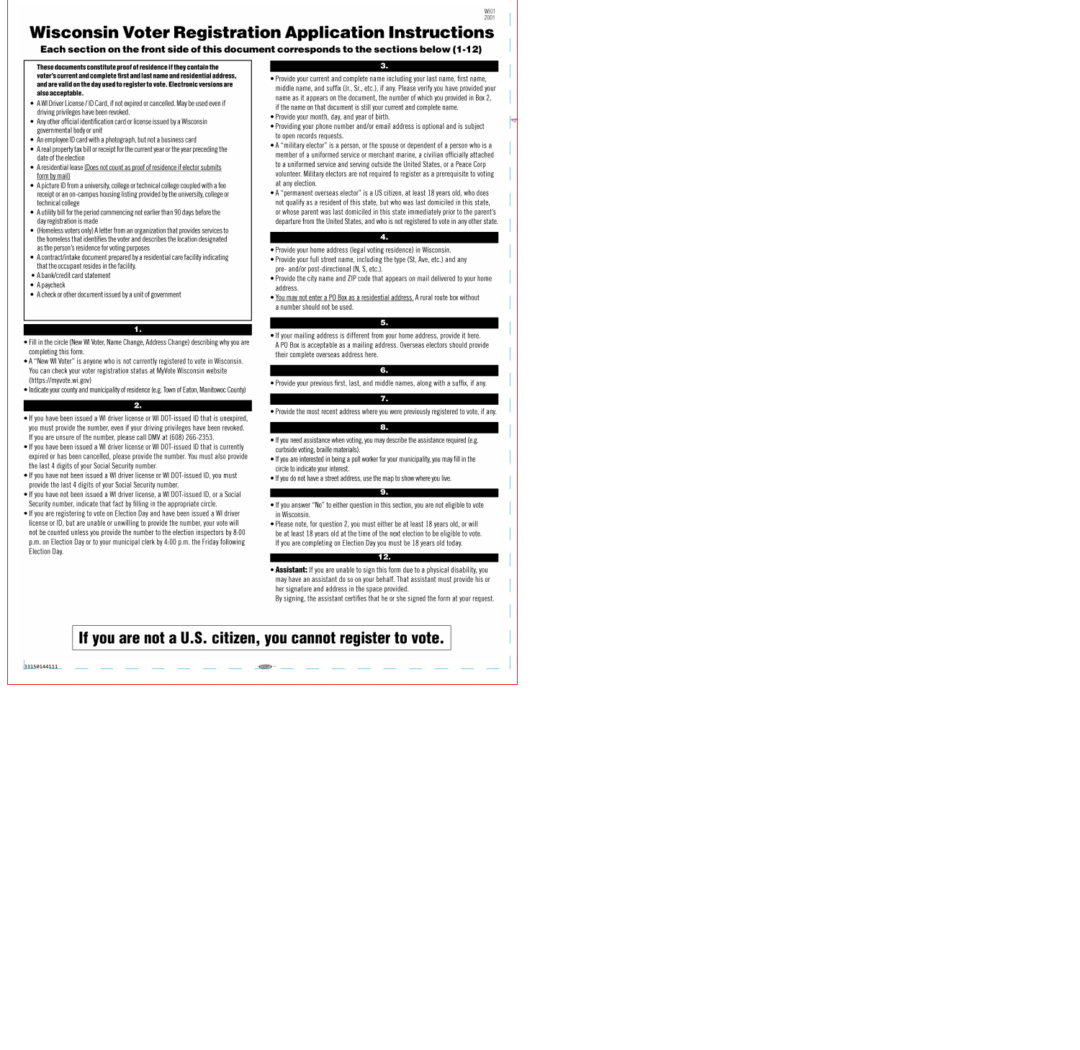# **Wisconsin Voter Registration Application Instructions**

## Each section on the front side of this document corresponds to the sections below (1-12)

These documents constitute proof of residence if they contain the voter's current and complete first and last name and residential address, and are valid on the day used to register to vote. Electronic versions are also acceptable.

- A WI Driver License / ID Card, if not expired or cancelled. May be used even if driving privileges have been revoked.
- Any other official identification card or license issued by a Wisconsin governmental body or unit
- An employee ID card with a photograph, but not a business card
- A real property tax bill or receipt for the current year or the year preceding the date of the election
- A residential lease (Does not count as proof of residence if elector submits form by mail)
- A picture ID from a university, college or technical college coupled with a fee receipt or an on-campus housing listing provided by the university, college or technical college
- A utility bill for the period commencing not earlier than 90 days before the day registration is made
- (Homeless voters only) A letter from an organization that provides services to the homeless that identifies the voter and describes the location designated as the person's residence for voting purposes
- A contract/intake document prepared by a residential care facility indicating that the occupant resides in the facility.
- A bank/credit card statement
- $\bullet$  A paycheck
- A check or other document issued by a unit of government

#### 1.

- Fill in the circle (New WI Voter, Name Change, Address Change) describing why you are completing this form.
- A "New WI Voter" is anyone who is not currently registered to vote in Wisconsin. You can check your voter registration status at MyVote Wisconsin website (https://myvote.wi.gov)
- Indicate your county and municipality of residence (e.g. Town of Eaton, Manitowoc County)

#### $2.$

- If you have been issued a WI driver license or WI DOT-issued ID that is unexpired. you must provide the number, even if your driving privileges have been revoked. If you are unsure of the number, please call DMV at (608) 266-2353.
- If you have been issued a WI driver license or WI DOT-issued ID that is currently expired or has been cancelled, please provide the number. You must also provide the last 4 digits of your Social Security number.
- If you have not been issued a WI driver license or WI DOT-issued ID, you must provide the last 4 digits of your Social Security number.
- If you have not been issued a WI driver license, a WI DOT-issued ID, or a Social Security number, indicate that fact by filling in the appropriate circle.
- If you are registering to vote on Election Day and have been issued a WI driver license or ID, but are unable or unwilling to provide the number, your vote will not be counted unless you provide the number to the election inspectors by 8:00 p.m. on Election Day or to your municipal clerk by 4:00 p.m. the Friday following Election Day

#### 3.

WI01

- Provide your current and complete name including your last name, first name, middle name, and suffix (Jr., Sr., etc.), if any. Please verify you have provided your name as it appears on the document, the number of which you provided in Box 2, if the name on that document is still your current and complete name.
- Provide your month, day, and year of birth.
- Providing your phone number and/or email address is optional and is subject to open records requests.
- A "military elector" is a person, or the spouse or dependent of a person who is a member of a uniformed service or merchant marine, a civilian officially attached to a uniformed service and serving outside the United States, or a Peace Corp volunteer. Military electors are not required to register as a prerequisite to voting at any election.
- A "permanent overseas elector" is a US citizen, at least 18 years old, who does not qualify as a resident of this state, but who was last domiciled in this state, or whose parent was last domiciled in this state immediately prior to the parent's departure from the United States, and who is not registered to vote in any other state.

#### 4.

- Provide your home address (legal voting residence) in Wisconsin.
- Provide your full street name, including the type (St, Ave, etc.) and any pre- and/or post-directional (N, S, etc.).
- Provide the city name and ZIP code that appears on mail delivered to your home address.
- You may not enter a PO Box as a residential address. A rural route box without a number should not be used.

#### 5.

. If your mailing address is different from your home address, provide it here. A PO Box is acceptable as a mailing address. Overseas electors should provide their complete overseas address here.

#### 6.

• Provide your previous first, last, and middle names, along with a suffix, if any.

#### 7.

• Provide the most recent address where you were previously registered to vote, if any.

#### 8.

- If you need assistance when voting, you may describe the assistance required (e.g. curbside voting, braille materials).
- If you are interested in being a poll worker for your municipality, you may fill in the circle to indicate your interest.
- . If you do not have a street address, use the map to show where you live.

#### 9.

- If you answer "No" to either question in this section, you are not eligible to vote in Wisconsin.
- Please note, for question 2, you must either be at least 18 years old, or will be at least 18 years old at the time of the next election to be eligible to vote. If you are completing on Election Day you must be 18 years old today.

#### $12.$

• Assistant: If you are unable to sign this form due to a physical disability, you may have an assistant do so on your behalf. That assistant must provide his or her signature and address in the space provided.

By signing, the assistant certifies that he or she signed the form at your request.

## If you are not a U.S. citizen, you cannot register to vote.